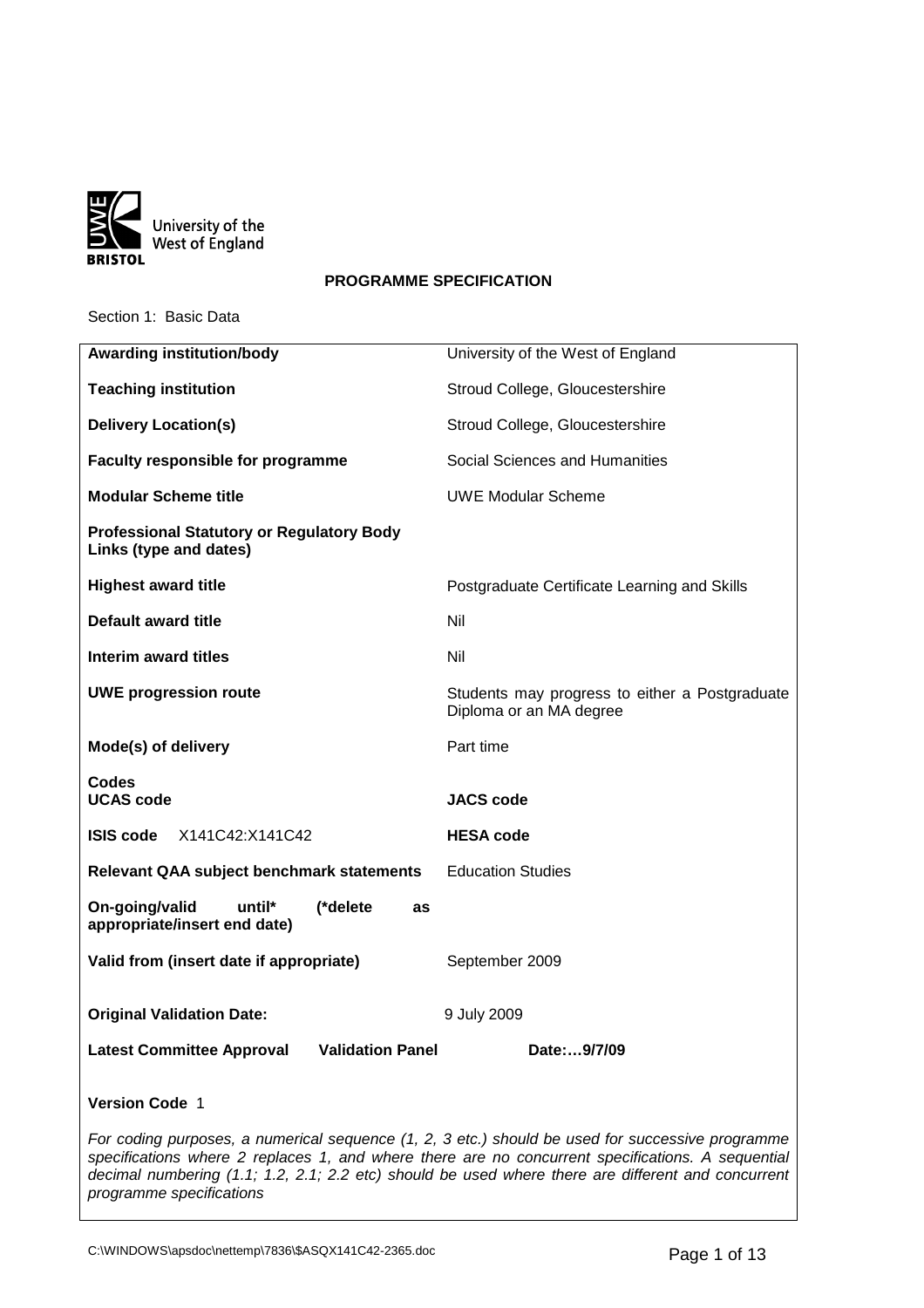

## **PROGRAMME SPECIFICATION**

Section 1: Basic Data

| <b>Awarding institution/body</b>                                                                                                                                                                      | University of the West of England                                         |  |
|-------------------------------------------------------------------------------------------------------------------------------------------------------------------------------------------------------|---------------------------------------------------------------------------|--|
| <b>Teaching institution</b>                                                                                                                                                                           | Stroud College, Gloucestershire                                           |  |
| <b>Delivery Location(s)</b>                                                                                                                                                                           | Stroud College, Gloucestershire                                           |  |
| <b>Faculty responsible for programme</b>                                                                                                                                                              | Social Sciences and Humanities                                            |  |
| <b>Modular Scheme title</b>                                                                                                                                                                           | <b>UWE Modular Scheme</b>                                                 |  |
| <b>Professional Statutory or Regulatory Body</b><br>Links (type and dates)                                                                                                                            |                                                                           |  |
| <b>Highest award title</b>                                                                                                                                                                            | Postgraduate Certificate Learning and Skills                              |  |
| Default award title                                                                                                                                                                                   | Nil                                                                       |  |
| Interim award titles                                                                                                                                                                                  | Nil                                                                       |  |
| <b>UWE progression route</b>                                                                                                                                                                          | Students may progress to either a Postgraduate<br>Diploma or an MA degree |  |
| Mode(s) of delivery                                                                                                                                                                                   | Part time                                                                 |  |
| <b>Codes</b><br><b>UCAS code</b>                                                                                                                                                                      | <b>JACS code</b>                                                          |  |
| X141C42:X141C42<br><b>ISIS code</b>                                                                                                                                                                   | <b>HESA code</b>                                                          |  |
| <b>Relevant QAA subject benchmark statements</b>                                                                                                                                                      | <b>Education Studies</b>                                                  |  |
| On-going/valid<br>until*<br>(*delete<br>as<br>appropriate/insert end date)                                                                                                                            |                                                                           |  |
| Valid from (insert date if appropriate)                                                                                                                                                               | September 2009                                                            |  |
| <b>Original Validation Date:</b>                                                                                                                                                                      | 9 July 2009                                                               |  |
| <b>Validation Panel</b><br><b>Latest Committee Approval</b>                                                                                                                                           | Date:9/7/09                                                               |  |
| <b>Version Code 1</b>                                                                                                                                                                                 |                                                                           |  |
| For coding purposes, a numerical sequence (1, 2, 3 etc.) should be used for successive programme<br>specifications where 2 replaces 1, and where there are no concurrent specifications. A sequential |                                                                           |  |

decimal numbering (1.1; 1.2, 2.1; 2.2 etc) should be used where there are different and concurrent

programme specifications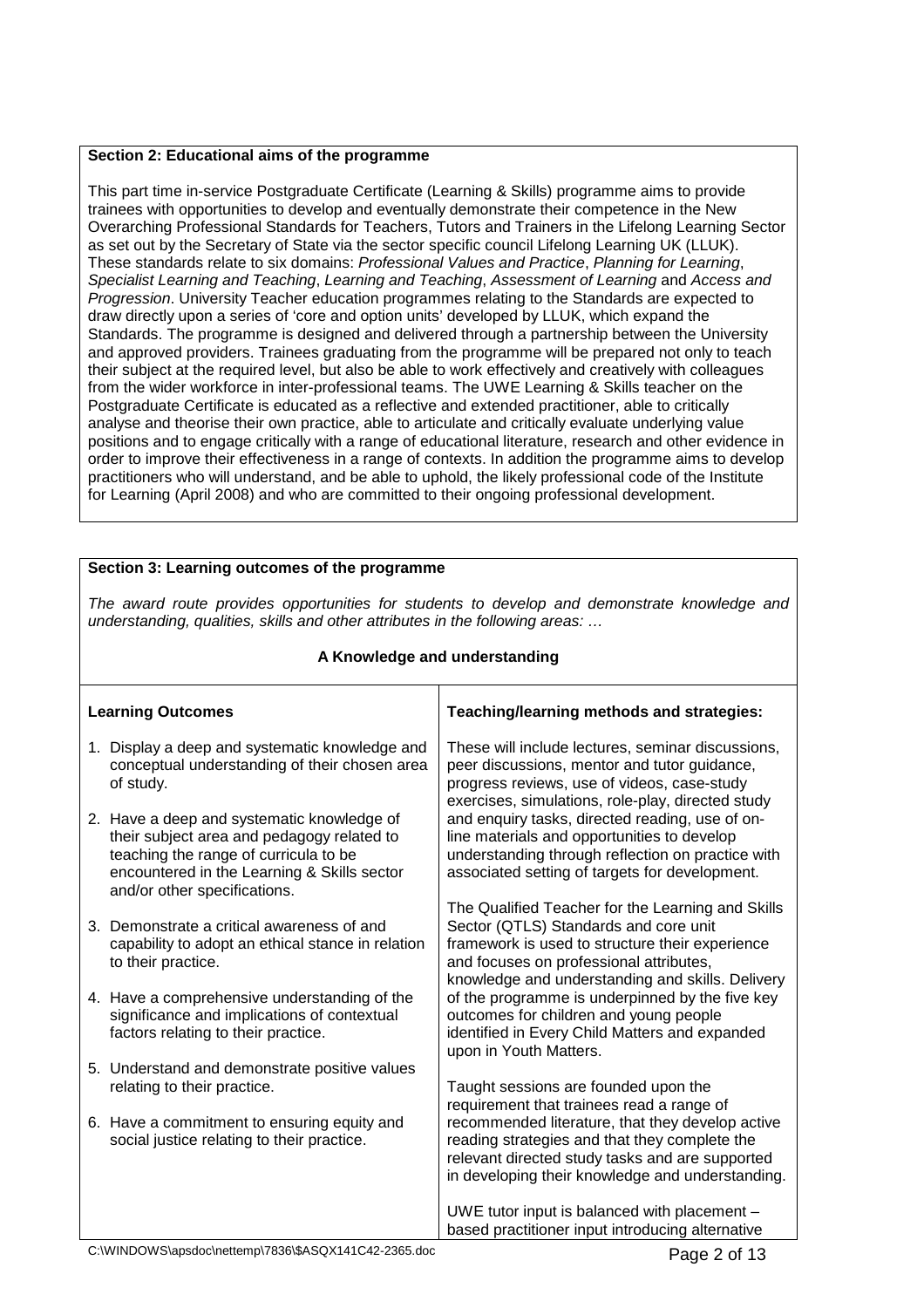## **Section 2: Educational aims of the programme**

This part time in-service Postgraduate Certificate (Learning & Skills) programme aims to provide trainees with opportunities to develop and eventually demonstrate their competence in the New Overarching Professional Standards for Teachers, Tutors and Trainers in the Lifelong Learning Sector as set out by the Secretary of State via the sector specific council Lifelong Learning UK (LLUK). These standards relate to six domains: Professional Values and Practice, Planning for Learning, Specialist Learning and Teaching, Learning and Teaching, Assessment of Learning and Access and Progression. University Teacher education programmes relating to the Standards are expected to draw directly upon a series of 'core and option units' developed by LLUK, which expand the Standards. The programme is designed and delivered through a partnership between the University and approved providers. Trainees graduating from the programme will be prepared not only to teach their subject at the required level, but also be able to work effectively and creatively with colleagues from the wider workforce in inter-professional teams. The UWE Learning & Skills teacher on the Postgraduate Certificate is educated as a reflective and extended practitioner, able to critically analyse and theorise their own practice, able to articulate and critically evaluate underlying value positions and to engage critically with a range of educational literature, research and other evidence in order to improve their effectiveness in a range of contexts. In addition the programme aims to develop practitioners who will understand, and be able to uphold, the likely professional code of the Institute for Learning (April 2008) and who are committed to their ongoing professional development.

#### **Section 3: Learning outcomes of the programme** The award route provides opportunities for students to develop and demonstrate knowledge and understanding, qualities, skills and other attributes in the following areas: … **A Knowledge and understanding Learning Outcomes** 1. Display a deep and systematic knowledge and conceptual understanding of their chosen area of study. 2. Have a deep and systematic knowledge of their subject area and pedagogy related to teaching the range of curricula to be encountered in the Learning & Skills sector and/or other specifications. 3. Demonstrate a critical awareness of and capability to adopt an ethical stance in relation to their practice. 4. Have a comprehensive understanding of the significance and implications of contextual factors relating to their practice. **Teaching/learning methods and strategies:** These will include lectures, seminar discussions, peer discussions, mentor and tutor guidance, progress reviews, use of videos, case-study exercises, simulations, role-play, directed study and enquiry tasks, directed reading, use of online materials and opportunities to develop understanding through reflection on practice with associated setting of targets for development. The Qualified Teacher for the Learning and Skills Sector (QTLS) Standards and core unit framework is used to structure their experience and focuses on professional attributes, knowledge and understanding and skills. Delivery of the programme is underpinned by the five key outcomes for children and young people identified in Every Child Matters and expanded upon in Youth Matters.

- 5. Understand and demonstrate positive values relating to their practice.
- 6. Have a commitment to ensuring equity and social justice relating to their practice.

#### Taught sessions are founded upon the requirement that trainees read a range of recommended literature, that they develop active reading strategies and that they complete the relevant directed study tasks and are supported in developing their knowledge and understanding.

UWE tutor input is balanced with placement – based practitioner input introducing alternative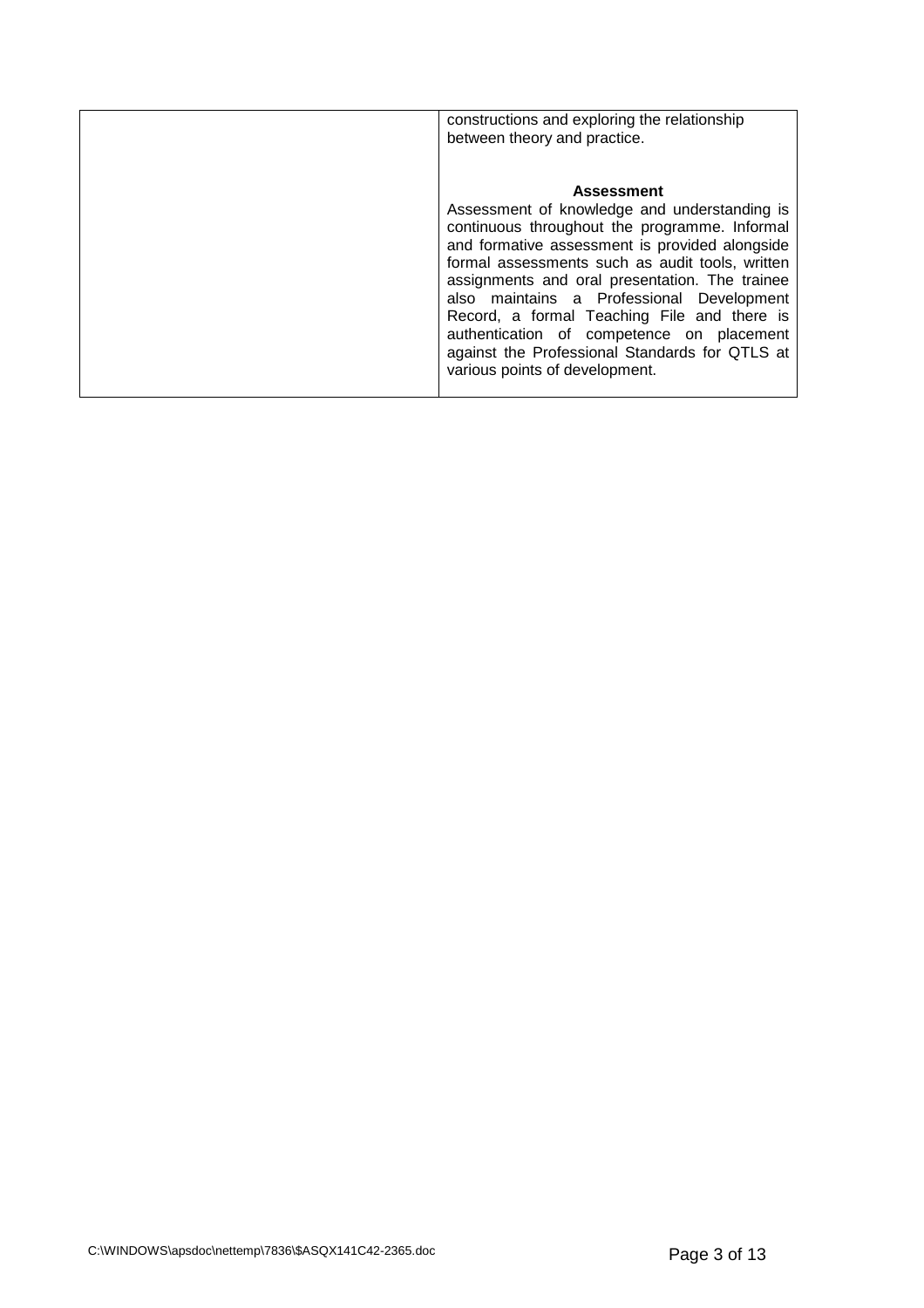| constructions and exploring the relationship<br>between theory and practice.                                                                                                                                                                                                                                                                                                                                                                                                                           |
|--------------------------------------------------------------------------------------------------------------------------------------------------------------------------------------------------------------------------------------------------------------------------------------------------------------------------------------------------------------------------------------------------------------------------------------------------------------------------------------------------------|
| <b>Assessment</b><br>Assessment of knowledge and understanding is<br>continuous throughout the programme. Informal<br>and formative assessment is provided alongside<br>formal assessments such as audit tools, written<br>assignments and oral presentation. The trainee<br>also maintains a Professional Development<br>Record, a formal Teaching File and there is<br>authentication of competence on placement<br>against the Professional Standards for QTLS at<br>various points of development. |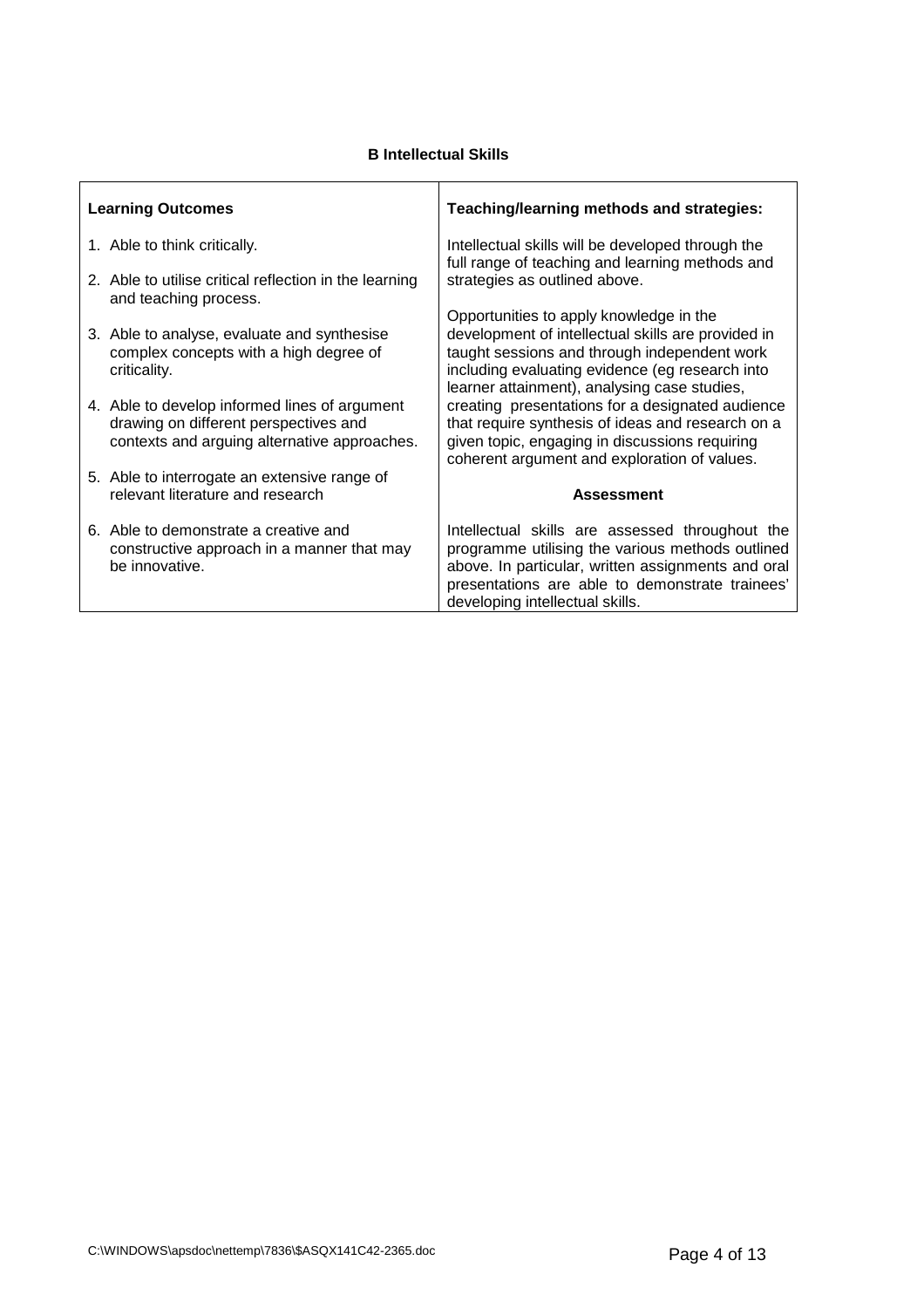# **B Intellectual Skills**

| <b>Learning Outcomes</b> |                                                                                                                                        | Teaching/learning methods and strategies:                                                                                                                                                                                                       |  |
|--------------------------|----------------------------------------------------------------------------------------------------------------------------------------|-------------------------------------------------------------------------------------------------------------------------------------------------------------------------------------------------------------------------------------------------|--|
|                          | 1. Able to think critically.                                                                                                           | Intellectual skills will be developed through the<br>full range of teaching and learning methods and                                                                                                                                            |  |
|                          | 2. Able to utilise critical reflection in the learning<br>and teaching process.                                                        | strategies as outlined above.                                                                                                                                                                                                                   |  |
|                          | 3. Able to analyse, evaluate and synthesise<br>complex concepts with a high degree of                                                  | Opportunities to apply knowledge in the<br>development of intellectual skills are provided in<br>taught sessions and through independent work                                                                                                   |  |
|                          | criticality.                                                                                                                           | including evaluating evidence (eg research into<br>learner attainment), analysing case studies,                                                                                                                                                 |  |
|                          | 4. Able to develop informed lines of argument<br>drawing on different perspectives and<br>contexts and arguing alternative approaches. | creating presentations for a designated audience<br>that require synthesis of ideas and research on a<br>given topic, engaging in discussions requiring<br>coherent argument and exploration of values.                                         |  |
|                          | 5. Able to interrogate an extensive range of                                                                                           |                                                                                                                                                                                                                                                 |  |
|                          | relevant literature and research                                                                                                       | <b>Assessment</b>                                                                                                                                                                                                                               |  |
|                          | 6. Able to demonstrate a creative and<br>constructive approach in a manner that may<br>be innovative.                                  | Intellectual skills are assessed throughout the<br>programme utilising the various methods outlined<br>above. In particular, written assignments and oral<br>presentations are able to demonstrate trainees'<br>developing intellectual skills. |  |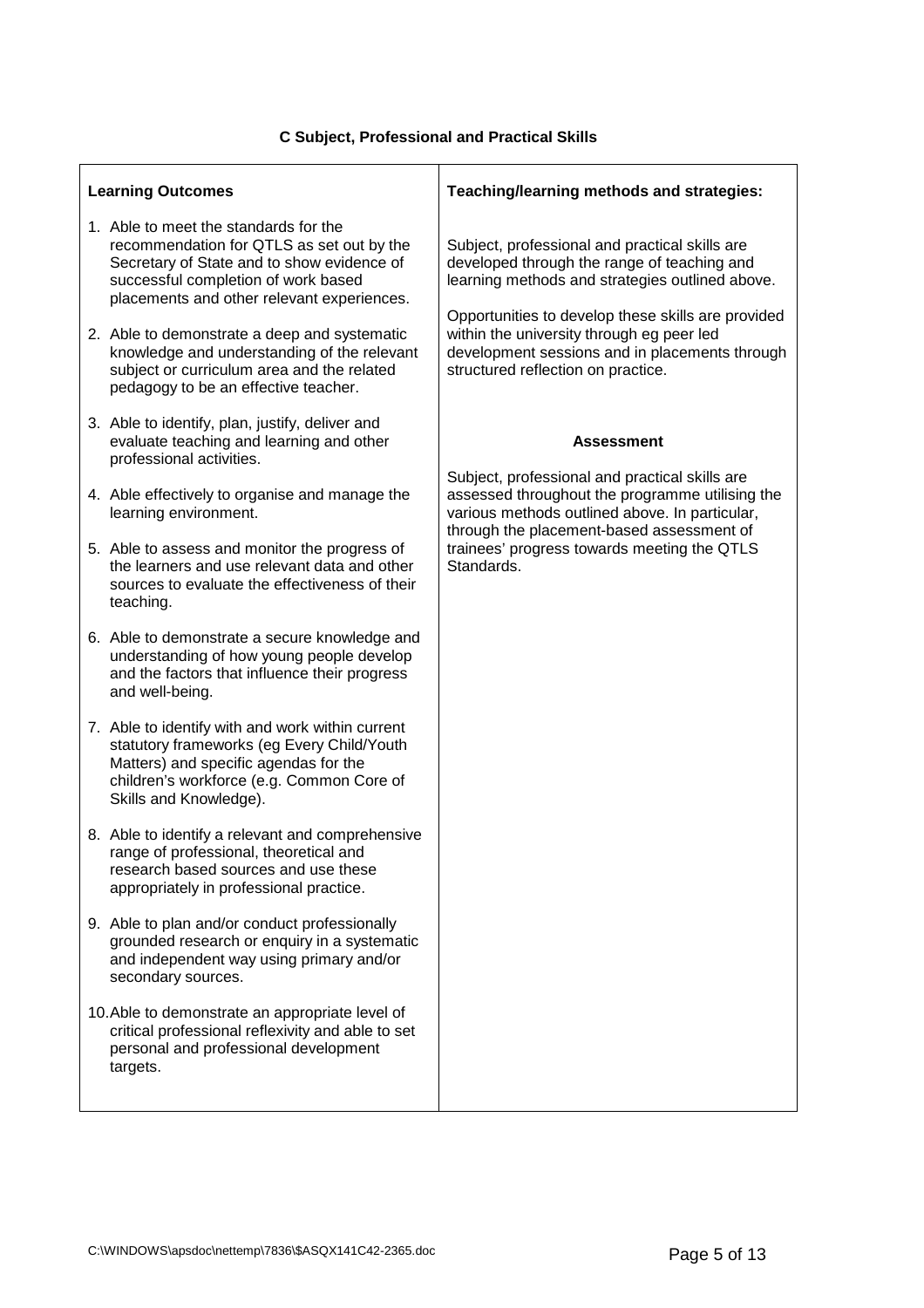| <b>Learning Outcomes</b> |                                                                                                                                                                                                                       | Teaching/learning methods and strategies:                                                                                                                                               |  |
|--------------------------|-----------------------------------------------------------------------------------------------------------------------------------------------------------------------------------------------------------------------|-----------------------------------------------------------------------------------------------------------------------------------------------------------------------------------------|--|
|                          | 1. Able to meet the standards for the<br>recommendation for QTLS as set out by the<br>Secretary of State and to show evidence of<br>successful completion of work based<br>placements and other relevant experiences. | Subject, professional and practical skills are<br>developed through the range of teaching and<br>learning methods and strategies outlined above.                                        |  |
|                          | 2. Able to demonstrate a deep and systematic<br>knowledge and understanding of the relevant<br>subject or curriculum area and the related<br>pedagogy to be an effective teacher.                                     | Opportunities to develop these skills are provided<br>within the university through eg peer led<br>development sessions and in placements through<br>structured reflection on practice. |  |
|                          | 3. Able to identify, plan, justify, deliver and<br>evaluate teaching and learning and other<br>professional activities.                                                                                               | <b>Assessment</b>                                                                                                                                                                       |  |
|                          | 4. Able effectively to organise and manage the<br>learning environment.                                                                                                                                               | Subject, professional and practical skills are<br>assessed throughout the programme utilising the<br>various methods outlined above. In particular,                                     |  |
|                          | 5. Able to assess and monitor the progress of<br>the learners and use relevant data and other<br>sources to evaluate the effectiveness of their<br>teaching.                                                          | through the placement-based assessment of<br>trainees' progress towards meeting the QTLS<br>Standards.                                                                                  |  |
|                          | 6. Able to demonstrate a secure knowledge and<br>understanding of how young people develop<br>and the factors that influence their progress<br>and well-being.                                                        |                                                                                                                                                                                         |  |
|                          | 7. Able to identify with and work within current<br>statutory frameworks (eg Every Child/Youth<br>Matters) and specific agendas for the<br>children's workforce (e.g. Common Core of<br>Skills and Knowledge).        |                                                                                                                                                                                         |  |
|                          | 8. Able to identify a relevant and comprehensive<br>range of professional, theoretical and<br>research based sources and use these<br>appropriately in professional practice.                                         |                                                                                                                                                                                         |  |
|                          | 9. Able to plan and/or conduct professionally<br>grounded research or enquiry in a systematic<br>and independent way using primary and/or<br>secondary sources.                                                       |                                                                                                                                                                                         |  |
|                          | 10. Able to demonstrate an appropriate level of<br>critical professional reflexivity and able to set<br>personal and professional development<br>targets.                                                             |                                                                                                                                                                                         |  |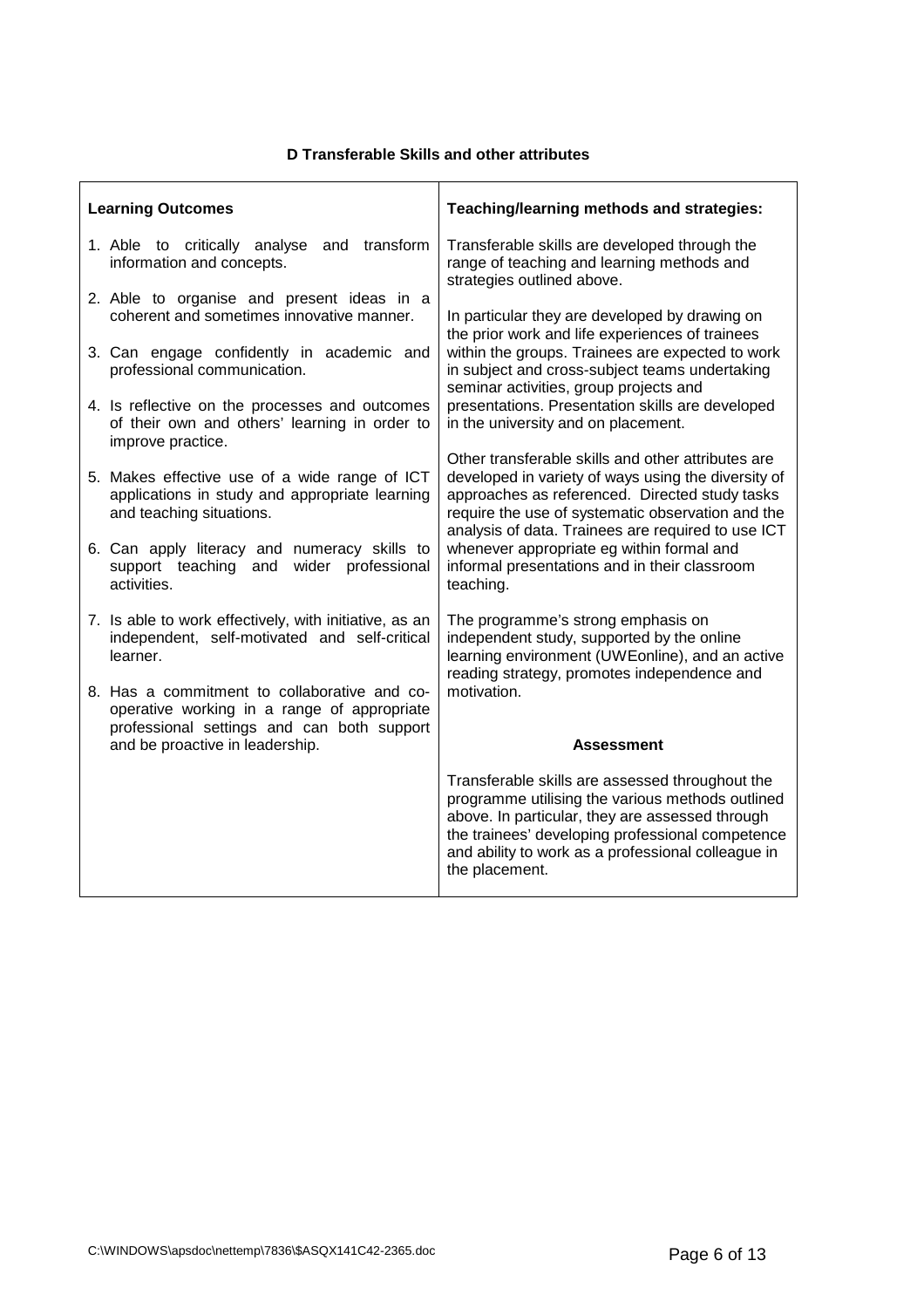# **D Transferable Skills and other attributes**

|                           | Teaching/learning methods and strategies:                                                                                                                                                                                                                                                                                                                                                                                                                                                                                                                                                                                                                                                                                                                                                                                                                                                                      |  |
|---------------------------|----------------------------------------------------------------------------------------------------------------------------------------------------------------------------------------------------------------------------------------------------------------------------------------------------------------------------------------------------------------------------------------------------------------------------------------------------------------------------------------------------------------------------------------------------------------------------------------------------------------------------------------------------------------------------------------------------------------------------------------------------------------------------------------------------------------------------------------------------------------------------------------------------------------|--|
| and transform             | Transferable skills are developed through the<br>range of teaching and learning methods and<br>strategies outlined above.                                                                                                                                                                                                                                                                                                                                                                                                                                                                                                                                                                                                                                                                                                                                                                                      |  |
|                           | In particular they are developed by drawing on                                                                                                                                                                                                                                                                                                                                                                                                                                                                                                                                                                                                                                                                                                                                                                                                                                                                 |  |
|                           | the prior work and life experiences of trainees<br>within the groups. Trainees are expected to work<br>in subject and cross-subject teams undertaking<br>seminar activities, group projects and                                                                                                                                                                                                                                                                                                                                                                                                                                                                                                                                                                                                                                                                                                                |  |
|                           | presentations. Presentation skills are developed<br>in the university and on placement.                                                                                                                                                                                                                                                                                                                                                                                                                                                                                                                                                                                                                                                                                                                                                                                                                        |  |
|                           | Other transferable skills and other attributes are<br>developed in variety of ways using the diversity of<br>approaches as referenced. Directed study tasks<br>require the use of systematic observation and the<br>analysis of data. Trainees are required to use ICT                                                                                                                                                                                                                                                                                                                                                                                                                                                                                                                                                                                                                                         |  |
| wider professional<br>and | whenever appropriate eg within formal and<br>informal presentations and in their classroom<br>teaching.                                                                                                                                                                                                                                                                                                                                                                                                                                                                                                                                                                                                                                                                                                                                                                                                        |  |
|                           | The programme's strong emphasis on<br>independent study, supported by the online<br>learning environment (UWEonline), and an active<br>reading strategy, promotes independence and                                                                                                                                                                                                                                                                                                                                                                                                                                                                                                                                                                                                                                                                                                                             |  |
|                           | motivation.                                                                                                                                                                                                                                                                                                                                                                                                                                                                                                                                                                                                                                                                                                                                                                                                                                                                                                    |  |
|                           | <b>Assessment</b>                                                                                                                                                                                                                                                                                                                                                                                                                                                                                                                                                                                                                                                                                                                                                                                                                                                                                              |  |
|                           | Transferable skills are assessed throughout the<br>programme utilising the various methods outlined<br>above. In particular, they are assessed through<br>the trainees' developing professional competence<br>and ability to work as a professional colleague in<br>the placement.                                                                                                                                                                                                                                                                                                                                                                                                                                                                                                                                                                                                                             |  |
|                           | <b>Learning Outcomes</b><br>1. Able to critically analyse<br>information and concepts.<br>2. Able to organise and present ideas in a<br>coherent and sometimes innovative manner.<br>3. Can engage confidently in academic and<br>professional communication.<br>4. Is reflective on the processes and outcomes<br>of their own and others' learning in order to<br>improve practice.<br>5. Makes effective use of a wide range of ICT<br>applications in study and appropriate learning<br>and teaching situations.<br>6. Can apply literacy and numeracy skills to<br>support teaching<br>activities.<br>7. Is able to work effectively, with initiative, as an<br>independent, self-motivated and self-critical<br>learner.<br>8. Has a commitment to collaborative and co-<br>operative working in a range of appropriate<br>professional settings and can both support<br>and be proactive in leadership. |  |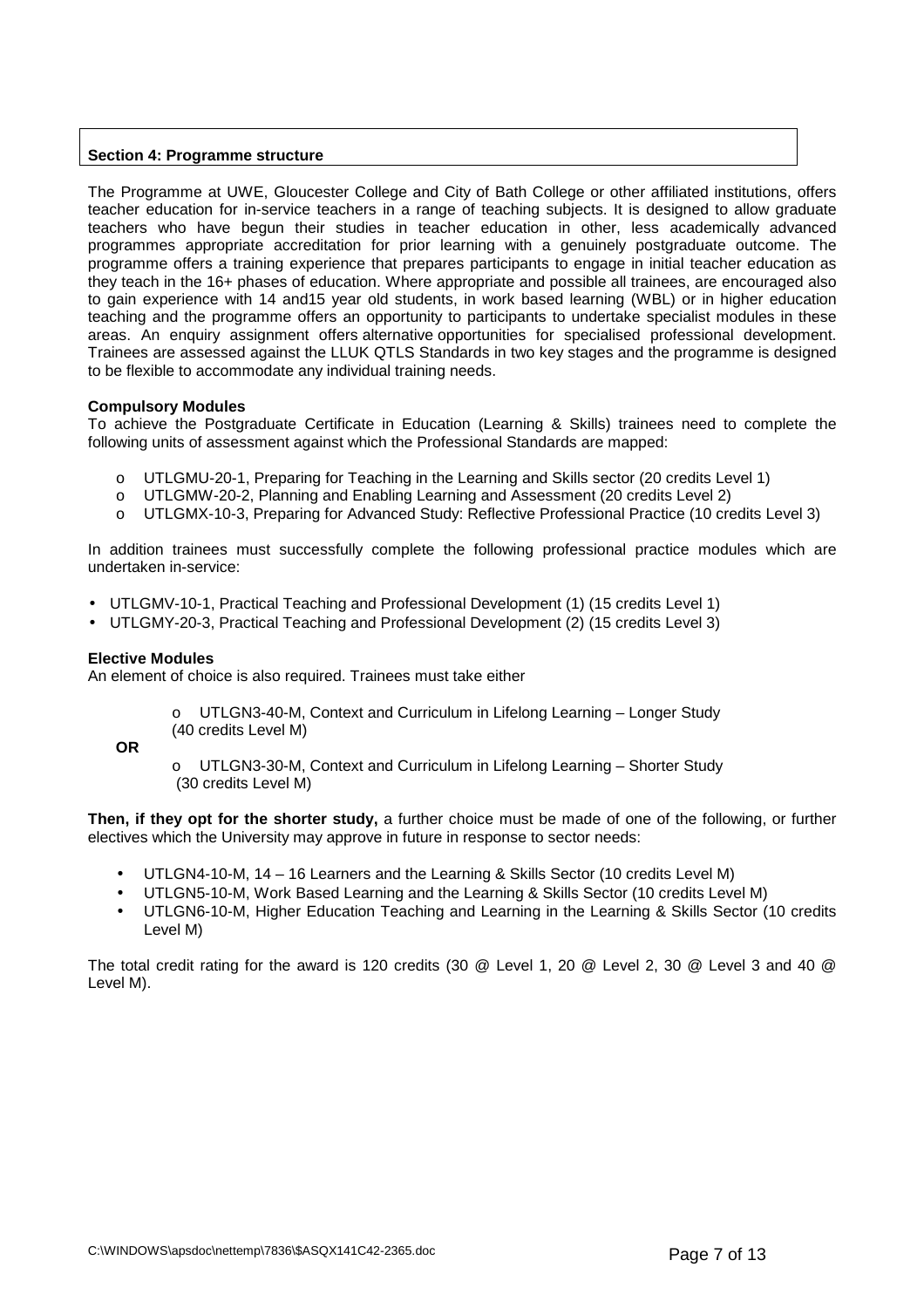## **Section 4: Programme structure**

The Programme at UWE, Gloucester College and City of Bath College or other affiliated institutions, offers teacher education for in-service teachers in a range of teaching subjects. It is designed to allow graduate teachers who have begun their studies in teacher education in other, less academically advanced programmes appropriate accreditation for prior learning with a genuinely postgraduate outcome. The programme offers a training experience that prepares participants to engage in initial teacher education as they teach in the 16+ phases of education. Where appropriate and possible all trainees, are encouraged also to gain experience with 14 and15 year old students, in work based learning (WBL) or in higher education teaching and the programme offers an opportunity to participants to undertake specialist modules in these areas. An enquiry assignment offers alternative opportunities for specialised professional development. Trainees are assessed against the LLUK QTLS Standards in two key stages and the programme is designed to be flexible to accommodate any individual training needs.

### **Compulsory Modules**

To achieve the Postgraduate Certificate in Education (Learning & Skills) trainees need to complete the following units of assessment against which the Professional Standards are mapped:

- o UTLGMU-20-1, Preparing for Teaching in the Learning and Skills sector (20 credits Level 1)<br>
o UTLGMW-20-2, Planning and Enabling Learning and Assessment (20 credits Level 2)
- UTLGMW-20-2, Planning and Enabling Learning and Assessment (20 credits Level 2)
- o UTLGMX-10-3, Preparing for Advanced Study: Reflective Professional Practice (10 credits Level 3)

In addition trainees must successfully complete the following professional practice modules which are undertaken in-service:

- UTLGMV-10-1, Practical Teaching and Professional Development (1) (15 credits Level 1)
- UTLGMY-20-3, Practical Teaching and Professional Development (2) (15 credits Level 3)

#### **Elective Modules**

An element of choice is also required. Trainees must take either

o UTLGN3-40-M, Context and Curriculum in Lifelong Learning – Longer Study (40 credits Level M)

**OR**

o UTLGN3-30-M, Context and Curriculum in Lifelong Learning – Shorter Study (30 credits Level M)

**Then, if they opt for the shorter study,** a further choice must be made of one of the following, or further electives which the University may approve in future in response to sector needs:

- UTLGN4-10-M, 14 16 Learners and the Learning & Skills Sector (10 credits Level M)
- UTLGN5-10-M, Work Based Learning and the Learning & Skills Sector (10 credits Level M)
- UTLGN6-10-M, Higher Education Teaching and Learning in the Learning & Skills Sector (10 credits Level M)

The total credit rating for the award is 120 credits (30 @ Level 1, 20 @ Level 2, 30 @ Level 3 and 40 @ Level M).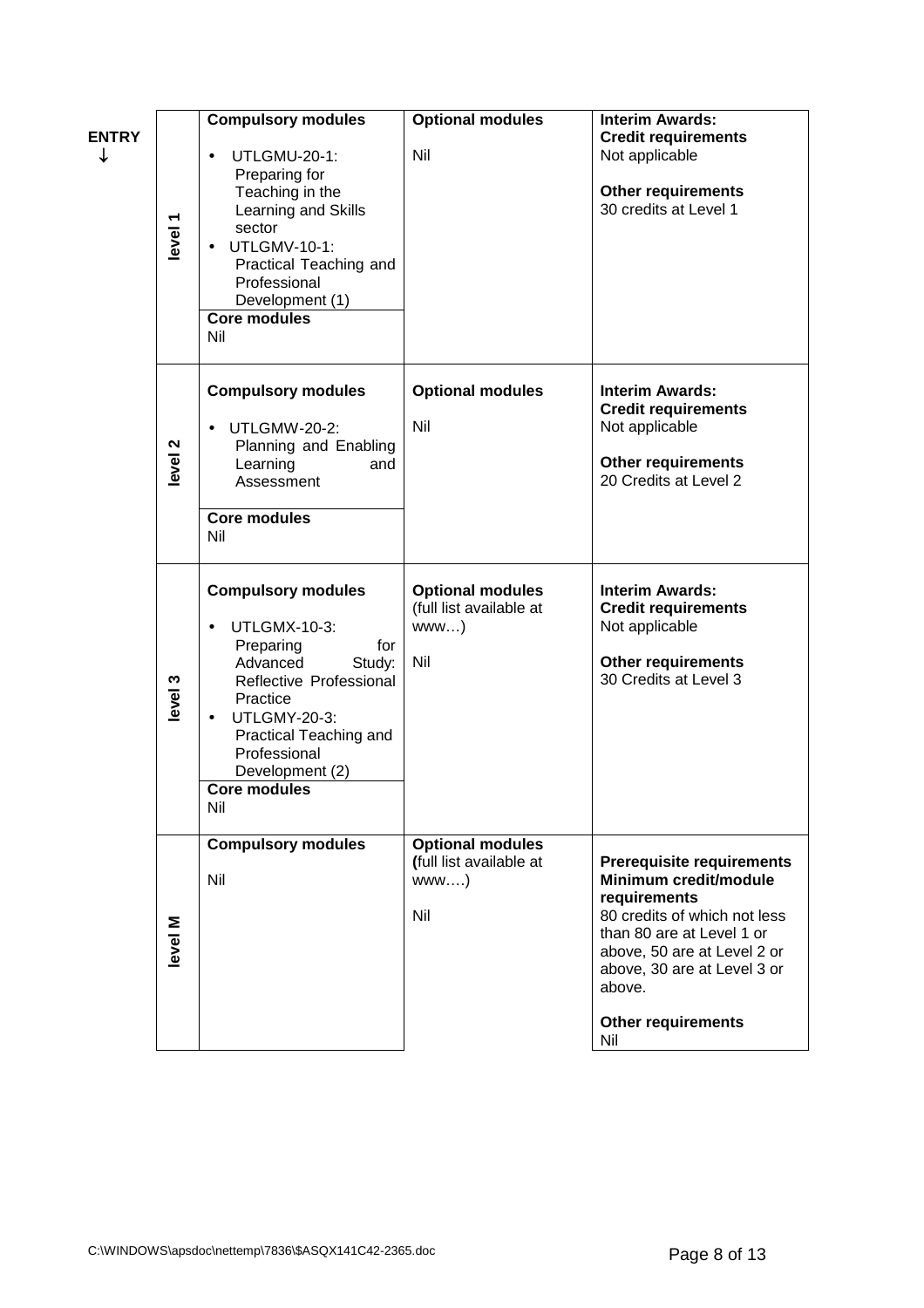| <b>ENTRY</b><br>↓ | level <sup>1</sup> | <b>Compulsory modules</b><br>UTLGMU-20-1:<br>$\bullet$<br>Preparing for<br>Teaching in the<br>Learning and Skills<br>sector<br><b>UTLGMV-10-1:</b><br>Practical Teaching and<br>Professional<br>Development (1)<br><b>Core modules</b><br>Nil       | <b>Optional modules</b><br>Nil                                    | <b>Interim Awards:</b><br><b>Credit requirements</b><br>Not applicable<br><b>Other requirements</b><br>30 credits at Level 1                                                                                                                       |
|-------------------|--------------------|-----------------------------------------------------------------------------------------------------------------------------------------------------------------------------------------------------------------------------------------------------|-------------------------------------------------------------------|----------------------------------------------------------------------------------------------------------------------------------------------------------------------------------------------------------------------------------------------------|
|                   | level <sub>2</sub> | <b>Compulsory modules</b><br><b>UTLGMW-20-2:</b><br>$\bullet$<br>Planning and Enabling<br>Learning<br>and<br>Assessment<br><b>Core modules</b><br>Nil                                                                                               | <b>Optional modules</b><br>Nil                                    | <b>Interim Awards:</b><br><b>Credit requirements</b><br>Not applicable<br><b>Other requirements</b><br>20 Credits at Level 2                                                                                                                       |
|                   | level 3            | <b>Compulsory modules</b><br><b>UTLGMX-10-3:</b><br>Preparing<br>for<br>Advanced<br>Study:<br>Reflective Professional<br>Practice<br><b>UTLGMY-20-3:</b><br>Practical Teaching and<br>Professional<br>Development (2)<br><b>Core modules</b><br>Nil | <b>Optional modules</b><br>(full list available at<br>www)<br>Nil | <b>Interim Awards:</b><br><b>Credit requirements</b><br>Not applicable<br><b>Other requirements</b><br>30 Credits at Level 3                                                                                                                       |
|                   | evel M             | <b>Compulsory modules</b><br>Nil                                                                                                                                                                                                                    | <b>Optional modules</b><br>(full list available at<br>www)<br>Nil | <b>Prerequisite requirements</b><br>Minimum credit/module<br>requirements<br>80 credits of which not less<br>than 80 are at Level 1 or<br>above, 50 are at Level 2 or<br>above, 30 are at Level 3 or<br>above.<br><b>Other requirements</b><br>Nil |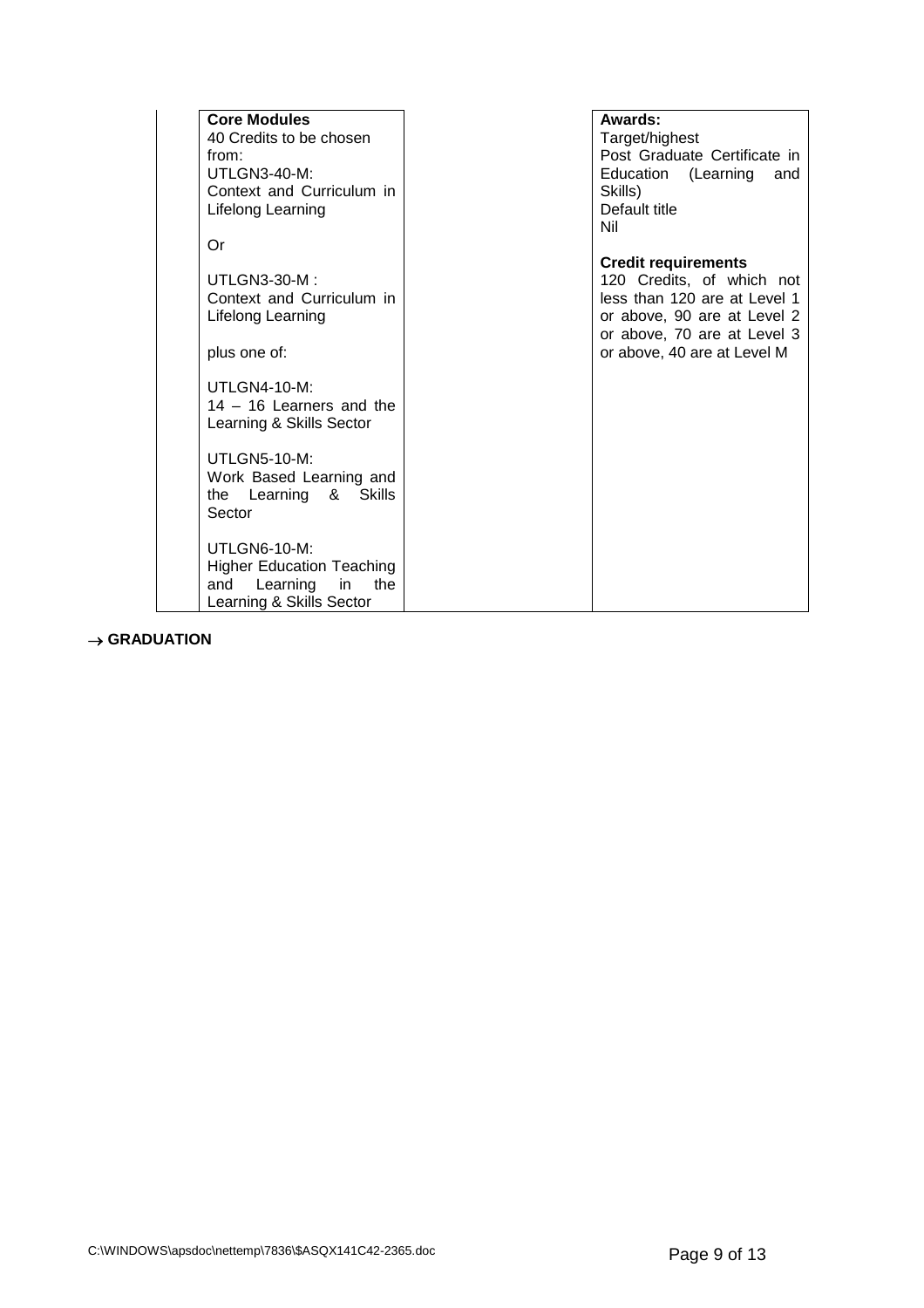| <b>Core Modules</b>              | Awards:                      |
|----------------------------------|------------------------------|
| 40 Credits to be chosen          | Target/highest               |
| from:                            | Post Graduate Certificate in |
| UTLGN3-40-M:                     | Education (Learning<br>and   |
| Context and Curriculum in        | Skills)                      |
| Lifelong Learning                | Default title                |
|                                  | Nil                          |
| Or                               |                              |
|                                  | <b>Credit requirements</b>   |
| <b>UTLGN3-30-M:</b>              | 120 Credits, of which not    |
| Context and Curriculum in        | less than 120 are at Level 1 |
| Lifelong Learning                | or above, 90 are at Level 2  |
|                                  | or above, 70 are at Level 3  |
| plus one of:                     | or above, 40 are at Level M  |
|                                  |                              |
| <b>UTLGN4-10-M:</b>              |                              |
| $14 - 16$ Learners and the       |                              |
| Learning & Skills Sector         |                              |
|                                  |                              |
| <b>UTLGN5-10-M:</b>              |                              |
| Work Based Learning and          |                              |
| the Learning & Skills            |                              |
| Sector                           |                              |
|                                  |                              |
| UTLGN6-10-M:                     |                              |
| <b>Higher Education Teaching</b> |                              |
| the<br>Learning<br>in in<br>and  |                              |
| Learning & Skills Sector         |                              |

 $\rightarrow$  GRADUATION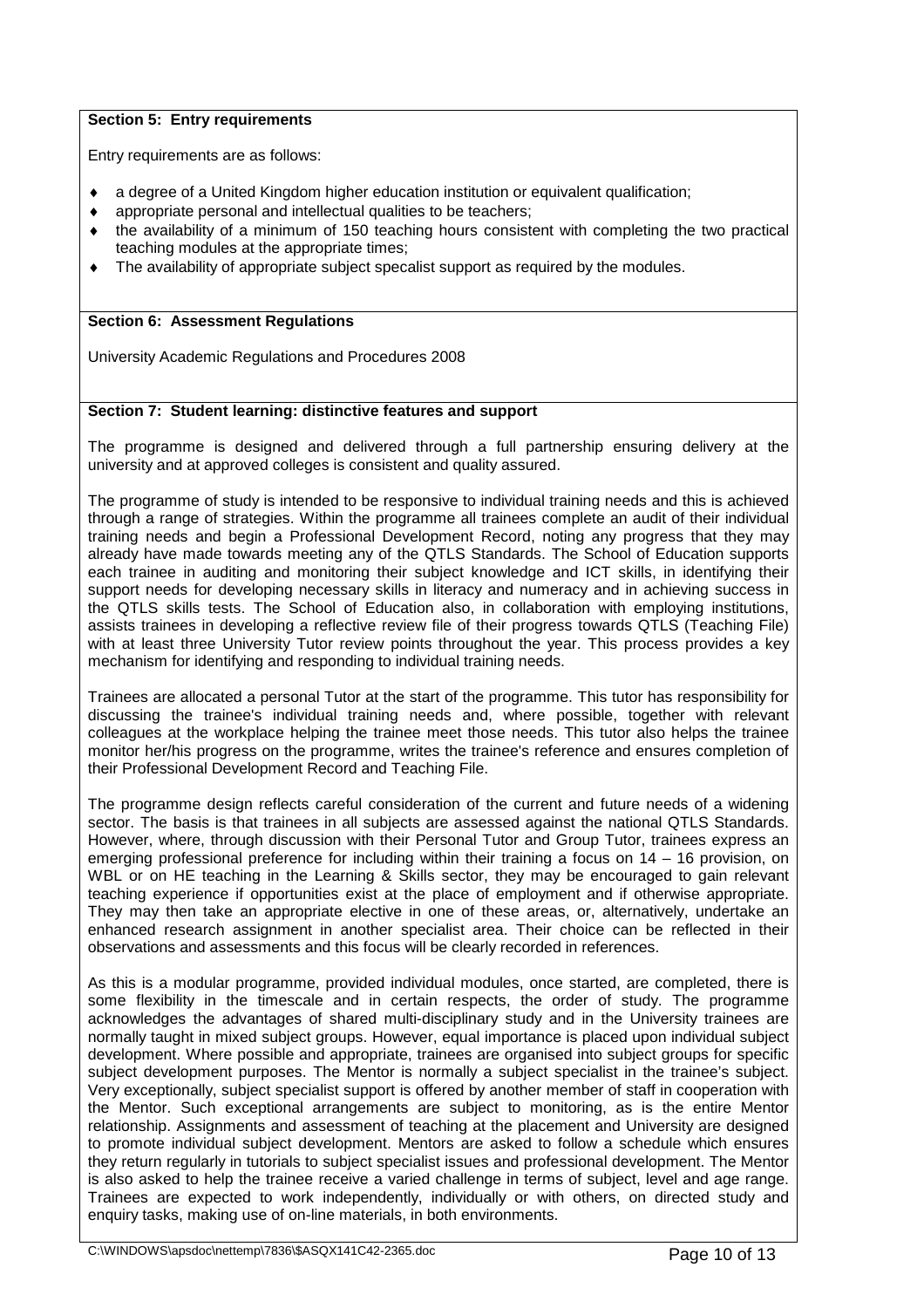## **Section 5: Entry requirements**

Entry requirements are as follows:

- a degree of a United Kingdom higher education institution or equivalent qualification;
- appropriate personal and intellectual qualities to be teachers;
- $\bullet$  the availability of a minimum of 150 teaching hours consistent with completing the two practical teaching modules at the appropriate times;
- The availability of appropriate subject specalist support as required by the modules.

## **Section 6: Assessment Regulations**

University Academic Regulations and Procedures 2008

## **Section 7: Student learning: distinctive features and support**

The programme is designed and delivered through a full partnership ensuring delivery at the university and at approved colleges is consistent and quality assured.

The programme of study is intended to be responsive to individual training needs and this is achieved through a range of strategies. Within the programme all trainees complete an audit of their individual training needs and begin a Professional Development Record, noting any progress that they may already have made towards meeting any of the QTLS Standards. The School of Education supports each trainee in auditing and monitoring their subject knowledge and ICT skills, in identifying their support needs for developing necessary skills in literacy and numeracy and in achieving success in the QTLS skills tests. The School of Education also, in collaboration with employing institutions, assists trainees in developing a reflective review file of their progress towards QTLS (Teaching File) with at least three University Tutor review points throughout the year. This process provides a key mechanism for identifying and responding to individual training needs.

Trainees are allocated a personal Tutor at the start of the programme. This tutor has responsibility for discussing the trainee's individual training needs and, where possible, together with relevant colleagues at the workplace helping the trainee meet those needs. This tutor also helps the trainee monitor her/his progress on the programme, writes the trainee's reference and ensures completion of their Professional Development Record and Teaching File.

The programme design reflects careful consideration of the current and future needs of a widening sector. The basis is that trainees in all subjects are assessed against the national QTLS Standards. However, where, through discussion with their Personal Tutor and Group Tutor, trainees express an emerging professional preference for including within their training a focus on 14 – 16 provision, on WBL or on HE teaching in the Learning & Skills sector, they may be encouraged to gain relevant teaching experience if opportunities exist at the place of employment and if otherwise appropriate. They may then take an appropriate elective in one of these areas, or, alternatively, undertake an enhanced research assignment in another specialist area. Their choice can be reflected in their observations and assessments and this focus will be clearly recorded in references.

As this is a modular programme, provided individual modules, once started, are completed, there is some flexibility in the timescale and in certain respects, the order of study. The programme acknowledges the advantages of shared multi-disciplinary study and in the University trainees are normally taught in mixed subject groups. However, equal importance is placed upon individual subject development. Where possible and appropriate, trainees are organised into subject groups for specific subject development purposes. The Mentor is normally a subject specialist in the trainee's subject. Very exceptionally, subject specialist support is offered by another member of staff in cooperation with the Mentor. Such exceptional arrangements are subject to monitoring, as is the entire Mentor relationship. Assignments and assessment of teaching at the placement and University are designed to promote individual subject development. Mentors are asked to follow a schedule which ensures they return regularly in tutorials to subject specialist issues and professional development. The Mentor is also asked to help the trainee receive a varied challenge in terms of subject, level and age range. Trainees are expected to work independently, individually or with others, on directed study and enquiry tasks, making use of on-line materials, in both environments.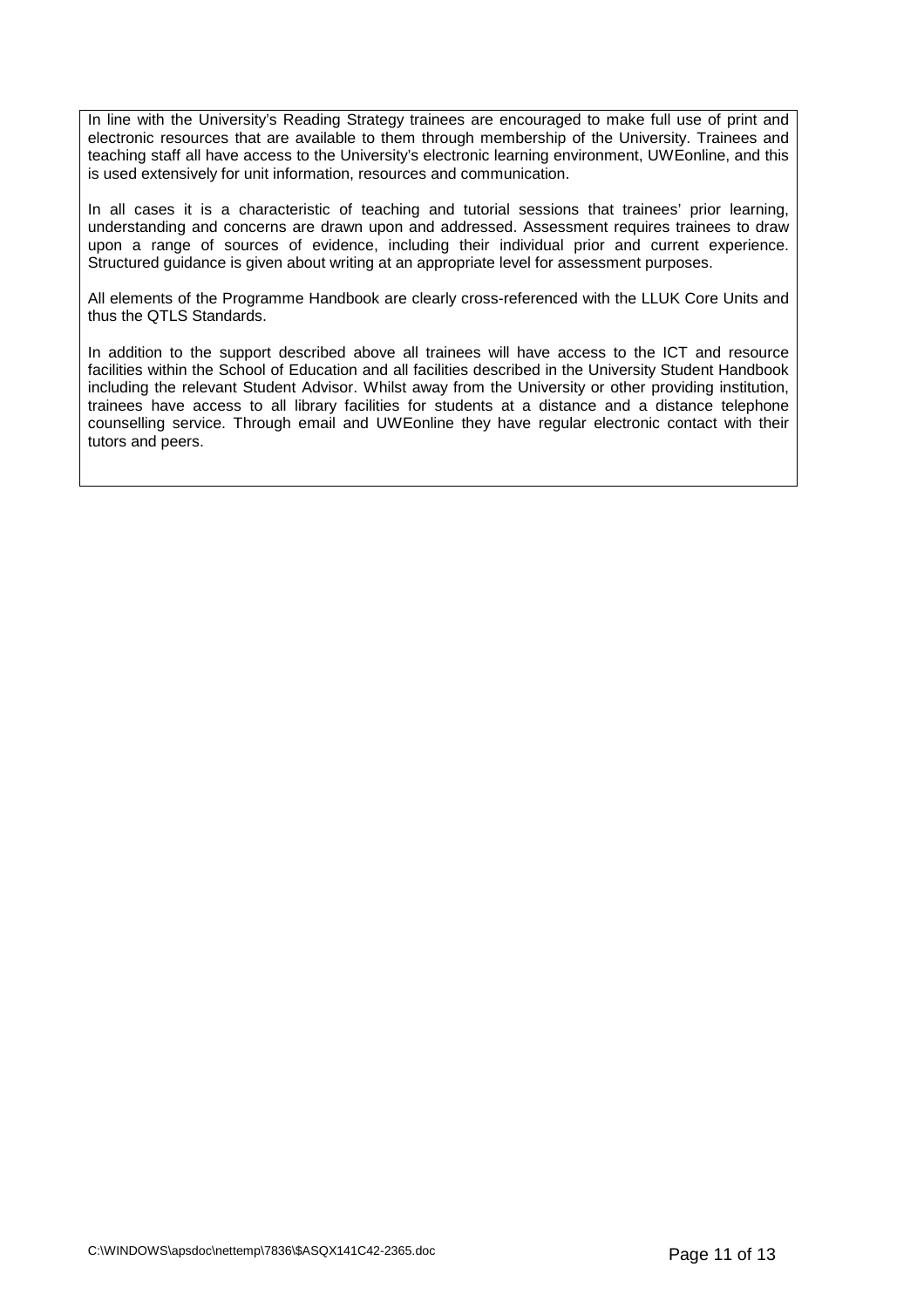In line with the University's Reading Strategy trainees are encouraged to make full use of print and electronic resources that are available to them through membership of the University. Trainees and teaching staff all have access to the University's electronic learning environment, UWEonline, and this is used extensively for unit information, resources and communication.

In all cases it is a characteristic of teaching and tutorial sessions that trainees' prior learning, understanding and concerns are drawn upon and addressed. Assessment requires trainees to draw upon a range of sources of evidence, including their individual prior and current experience. Structured guidance is given about writing at an appropriate level for assessment purposes.

All elements of the Programme Handbook are clearly cross-referenced with the LLUK Core Units and thus the QTLS Standards.

In addition to the support described above all trainees will have access to the ICT and resource facilities within the School of Education and all facilities described in the University Student Handbook including the relevant Student Advisor. Whilst away from the University or other providing institution, trainees have access to all library facilities for students at a distance and a distance telephone counselling service. Through email and UWEonline they have regular electronic contact with their tutors and peers.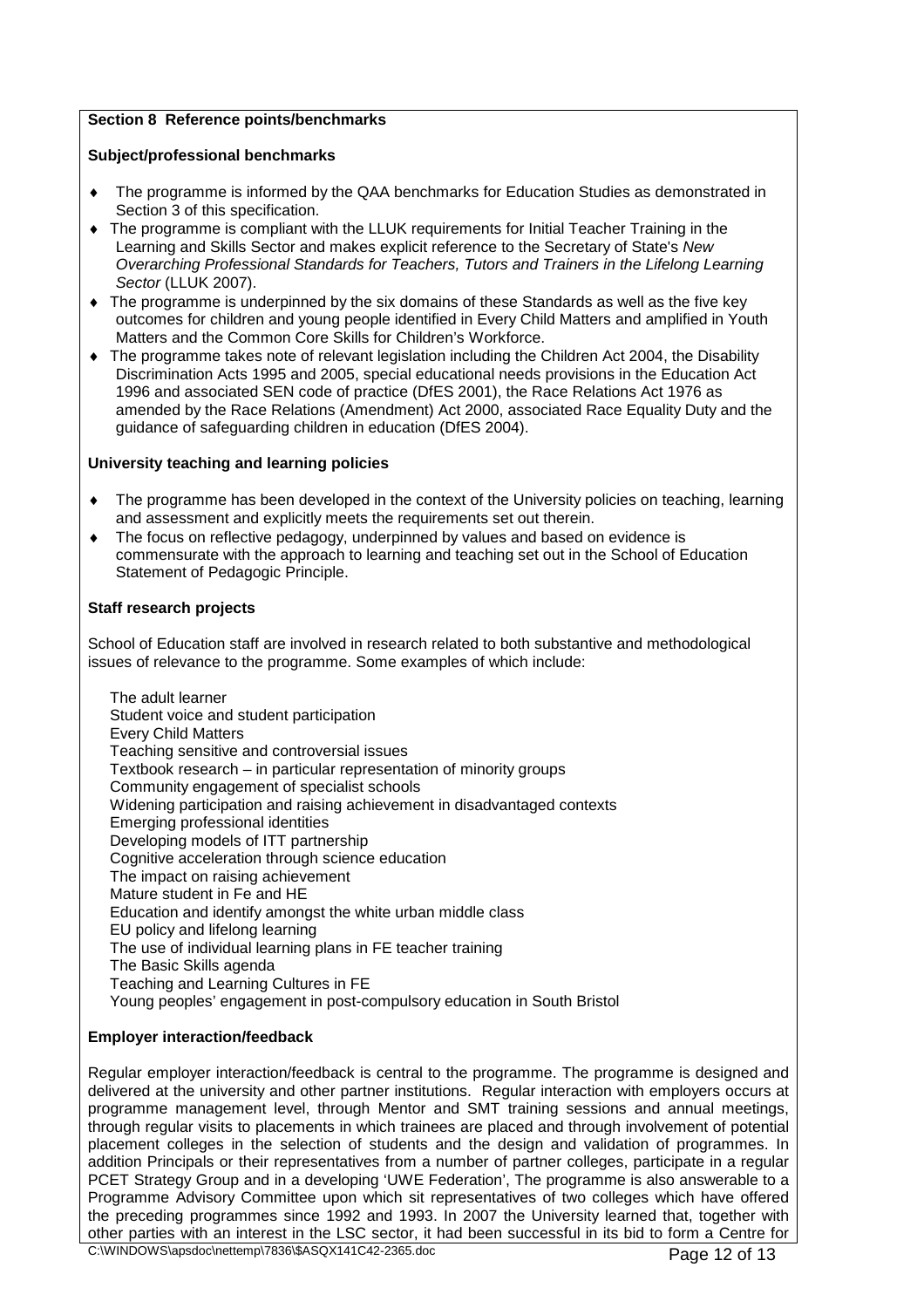## **Section 8 Reference points/benchmarks**

## **Subject/professional benchmarks**

- The programme is informed by the QAA benchmarks for Education Studies as demonstrated in Section 3 of this specification.
- The programme is compliant with the LLUK requirements for Initial Teacher Training in the Learning and Skills Sector and makes explicit reference to the Secretary of State's New Overarching Professional Standards for Teachers, Tutors and Trainers in the Lifelong Learning Sector (LLUK 2007).
- The programme is underpinned by the six domains of these Standards as well as the five key outcomes for children and young people identified in Every Child Matters and amplified in Youth Matters and the Common Core Skills for Children's Workforce.
- The programme takes note of relevant legislation including the Children Act 2004, the Disability Discrimination Acts 1995 and 2005, special educational needs provisions in the Education Act 1996 and associated SEN code of practice (DfES 2001), the Race Relations Act 1976 as amended by the Race Relations (Amendment) Act 2000, associated Race Equality Duty and the guidance of safeguarding children in education (DfES 2004).

### **University teaching and learning policies**

- The programme has been developed in the context of the University policies on teaching, learning and assessment and explicitly meets the requirements set out therein.
- The focus on reflective pedagogy, underpinned by values and based on evidence is commensurate with the approach to learning and teaching set out in the School of Education Statement of Pedagogic Principle.

### **Staff research projects**

School of Education staff are involved in research related to both substantive and methodological issues of relevance to the programme. Some examples of which include:

The adult learner Student voice and student participation Every Child Matters Teaching sensitive and controversial issues Textbook research – in particular representation of minority groups Community engagement of specialist schools Widening participation and raising achievement in disadvantaged contexts Emerging professional identities Developing models of ITT partnership Cognitive acceleration through science education The impact on raising achievement Mature student in Fe and HE Education and identify amongst the white urban middle class EU policy and lifelong learning The use of individual learning plans in FE teacher training The Basic Skills agenda Teaching and Learning Cultures in FE Young peoples' engagement in post-compulsory education in South Bristol

## **Employer interaction/feedback**

Regular employer interaction/feedback is central to the programme. The programme is designed and delivered at the university and other partner institutions. Regular interaction with employers occurs at programme management level, through Mentor and SMT training sessions and annual meetings, through regular visits to placements in which trainees are placed and through involvement of potential placement colleges in the selection of students and the design and validation of programmes. In addition Principals or their representatives from a number of partner colleges, participate in a regular PCET Strategy Group and in a developing 'UWE Federation', The programme is also answerable to a Programme Advisory Committee upon which sit representatives of two colleges which have offered the preceding programmes since 1992 and 1993. In 2007 the University learned that, together with other parties with an interest in the LSC sector, it had been successful in its bid to form a Centre for